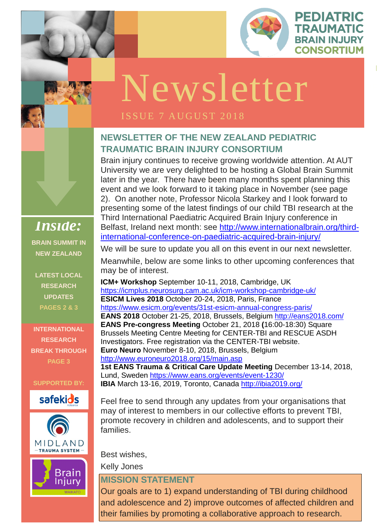

PEDIATRIC

**TRAUMATIC** 

**ISSUE 1 OCTOBER** 

## **NEWSLETTER OF THE NEW ZEALAND PEDIATRIC TRAUMATIC BRAIN INJURY CONSORTIUM**

Brain injury continues to receive growing worldwide attention. At AUT University we are very delighted to be hosting a Global Brain Summit later in the year. There have been many months spent planning this event and we look forward to it taking place in November (see page 2). On another note, Professor Nicola Starkey and I look forward to presenting some of the latest findings of our child TBI research at the Third International Paediatric Acquired Brain Injury conference in Belfast, Ireland next month: see [http://www.internationalbrain.org/third](http://www.internationalbrain.org/third-international-conference-on-paediatric-acquired-brain-injury/)[international-conference-on-paediatric-acquired-brain-injury/](http://www.internationalbrain.org/third-international-conference-on-paediatric-acquired-brain-injury/)

We will be sure to update you all on this event in our next newsletter.

Investigators. Free registration via the CENTER-TBI website.<br>**Euro Neuro** November 8-10. 2018. Brussels. Belgium **O R G A N I Z A T I O N ICM+ Workshop** September 10-11, 2018, Cambridge, UK <https://icmplus.neurosurg.cam.ac.uk/icm-workshop-cambridge-uk/> **ESICM Lives 2018** October 20-24, 2018, Paris, France <https://www.esicm.org/events/31st-esicm-annual-congress-paris/> **EANS 2018** October 21-25, 2018, Brussels, Belgium<http://eans2018.com/> **EANS Pre-congress Meeting** October 21, 2018 **(**16:00-18:30) Square Brussels Meeting Centre Meeting for CENTER-TBI and RESCUE ASDH **Euro Neuro** November 8-10, 2018, Brussels, Belgium <http://www.euroneuro2018.org/15/main.asp> **1st EANS Trauma & Critical Care Update Meeting** December 13-14, 2018, Lund, Sweden<https://www.eans.org/events/event-1230/> **IBIA** March 13-16, 2019, Toronto, Canada<http://ibia2019.org/>

Meanwhile, below are some links to other upcoming conferences that may be of interest.

Feel free to send through any updates from your organisations that may of interest to members in our collective efforts to prevent TBI, promote recovery in children and adolescents, and to support their families.

Best wishes,

Kelly Jones

### **MISSION STATEMENT**

Our goals are to 1) expand understanding of TBI during childhood and adolescence and 2) improve outcomes of affected children and their families by promoting a collaborative approach to research.

*Inside:* **BRAIN SUMMIT IN NEW ZEALAND**

**LATEST LOCAL** 







**RESEARCH UPDATES PAGES 2 & 3**

**INTERNATIONAL** 

**RESEARCH BREAK THROUGH PAGE 3**

**SUPPORTED BY:**



# Newsletter

## ISSUE 7 AUGUST 2018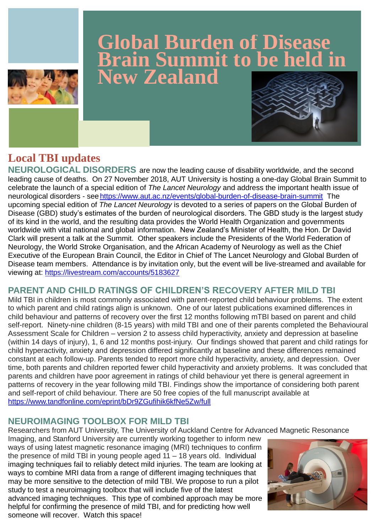## **Local TBI updates**

**NEUROLOGICAL DISORDERS** are now the leading cause of disability worldwide, and the second leading cause of deaths. On 27 November 2018, AUT University is hosting a one-day Global Brain Summit to celebrate the launch of a special edition of *The Lancet Neurology* and address the important health issue of neurological disorders - see <https://www.aut.ac.nz/events/global-burden-of-disease-brain-summit>The upcoming special edition of *The Lancet Neurology* is devoted to a series of papers on the Global Burden of Disease (GBD) study's estimates of the burden of neurological disorders. The GBD study is the largest study of its kind in the world, and the resulting data provides the World Health Organization and governments worldwide with vital national and global information. New Zealand's Minister of Health, the Hon. Dr David Clark will present a talk at the Summit. Other speakers include the Presidents of the World Federation of Neurology, the World Stroke Organisation, and the African Academy of Neurology as well as the Chief Executive of the European Brain Council, the Editor in Chief of The Lancet Neurology and Global Burden of Disease team members. Attendance is by invitation only, but the event will be live-streamed and available for viewing at: [https://livestream.com/accounts/5183627](https://outlook.aut.ac.nz/owa/redir.aspx?C=3MO2LBuObBpd41krNV8TsCl8a_a_HnoQyh7BQppwg9FjZO_2L_7VCA..&URL=https%3a%2f%2flivestream.com%2faccounts%2f5183627)

## **PARENT AND CHILD RATINGS OF CHILDREN'S RECOVERY AFTER MILD TBI**

Mild TBI in children is most commonly associated with parent-reported child behaviour problems. The extent to which parent and child ratings align is unknown. One of our latest publications examined differences in child behaviour and patterns of recovery over the first 12 months following mTBI based on parent and child self-report. Ninety-nine children (8-15 years) with mild TBI and one of their parents completed the Behavioural Assessment Scale for Children – version 2 to assess child hyperactivity, anxiety and depression at baseline (within 14 days of injury), 1, 6 and 12 months post-injury. Our findings showed that parent and child ratings for child hyperactivity, anxiety and depression differed significantly at baseline and these differences remained constant at each follow-up. Parents tended to report more child hyperactivity, anxiety, and depression. Over time, both parents and children reported fewer child hyperactivity and anxiety problems. It was concluded that parents and children have poor agreement in ratings of child behaviour yet there is general agreement in patterns of recovery in the year following mild TBI. Findings show the importance of considering both parent and self-report of child behaviour. There are 50 free copies of the full manuscript available at <https://www.tandfonline.com/eprint/bDr9ZGufihik6kfNe5Zw/full>

#### **NEUROIMAGING TOOLBOX FOR MILD TBI**

Researchers from AUT University, The University of Auckland Centre for Advanced Magnetic Resonance

Imaging, and Stanford University are currently working together to inform new ways of using latest magnetic resonance imaging (MRI) techniques to confirm the presence of mild TBI in young people aged  $11 - 18$  years old. Individual imaging techniques fail to reliably detect mild injuries. The team are looking at ways to combine MRI data from a range of different imaging techniques that may be more sensitive to the detection of mild TBI. We propose to run a pilot study to test a neuroimaging toolbox that will include five of the latest advanced imaging techniques. This type of combined approach may be more helpful for confirming the presence of mild TBI, and for predicting how well someone will recover. Watch this space!





## **Global Burden of Disease Brain Summit to be held in New Zealand**